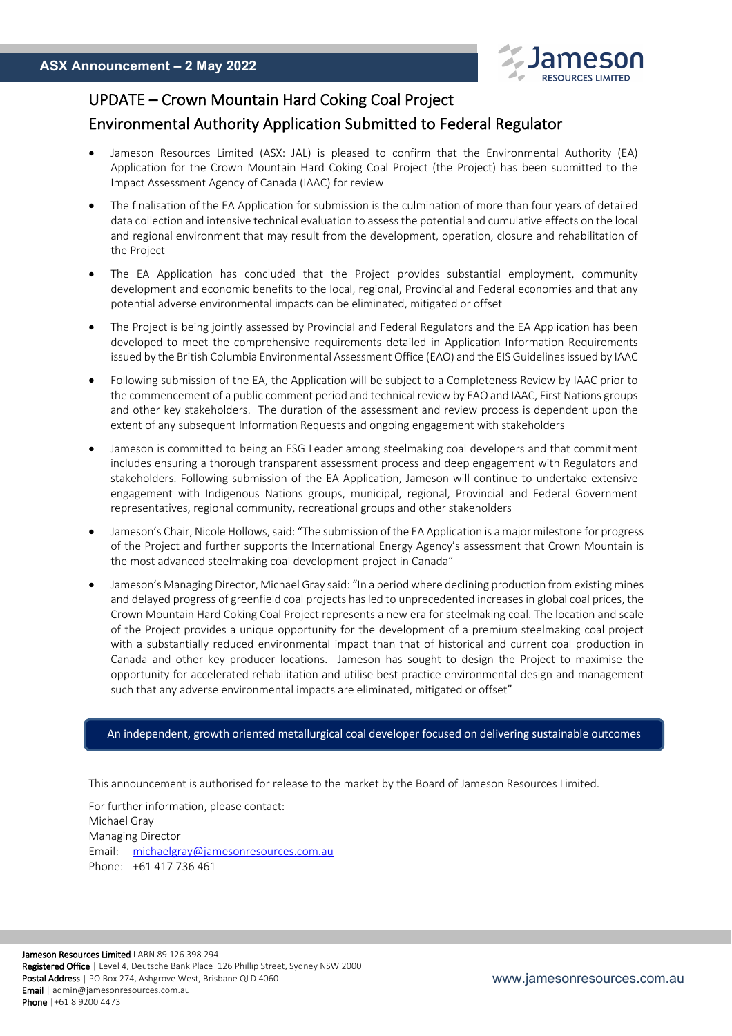

# UPDATE – Crown Mountain Hard Coking Coal Project

## Environmental Authority Application Submitted to Federal Regulator

- Jameson Resources Limited (ASX: JAL) is pleased to confirm that the Environmental Authority (EA) Application for the Crown Mountain Hard Coking Coal Project (the Project) has been submitted to the Impact Assessment Agency of Canada (IAAC) for review
- The finalisation of the EA Application for submission is the culmination of more than four years of detailed data collection and intensive technical evaluation to assess the potential and cumulative effects on the local and regional environment that may result from the development, operation, closure and rehabilitation of the Project
- The EA Application has concluded that the Project provides substantial employment, community development and economic benefits to the local, regional, Provincial and Federal economies and that any potential adverse environmental impacts can be eliminated, mitigated or offset
- The Project is being jointly assessed by Provincial and Federal Regulators and the EA Application has been developed to meet the comprehensive requirements detailed in Application Information Requirements issued by the British Columbia Environmental Assessment Office (EAO) and the EIS Guidelines issued by IAAC
- Following submission of the EA, the Application will be subject to a Completeness Review by IAAC prior to the commencement of a public comment period and technical review by EAO and IAAC, First Nations groups and other key stakeholders. The duration of the assessment and review process is dependent upon the extent of any subsequent Information Requests and ongoing engagement with stakeholders
- Jameson is committed to being an ESG Leader among steelmaking coal developers and that commitment includes ensuring a thorough transparent assessment process and deep engagement with Regulators and stakeholders. Following submission of the EA Application, Jameson will continue to undertake extensive engagement with Indigenous Nations groups, municipal, regional, Provincial and Federal Government representatives, regional community, recreational groups and other stakeholders
- Jameson's Chair, Nicole Hollows, said: "The submission of the EA Application is a major milestone for progress of the Project and further supports the International Energy Agency's assessment that Crown Mountain is the most advanced steelmaking coal development project in Canada"
- Jameson's Managing Director, Michael Gray said: "In a period where declining production from existing mines and delayed progress of greenfield coal projects has led to unprecedented increases in global coal prices, the Crown Mountain Hard Coking Coal Project represents a new era for steelmaking coal. The location and scale of the Project provides a unique opportunity for the development of a premium steelmaking coal project with a substantially reduced environmental impact than that of historical and current coal production in Canada and other key producer locations. Jameson has sought to design the Project to maximise the opportunity for accelerated rehabilitation and utilise best practice environmental design and management such that any adverse environmental impacts are eliminated, mitigated or offset"

#### An independent, growth oriented metallurgical coal developer focused on delivering sustainable outcomes

This announcement is authorised for release to the market by the Board of Jameson Resources Limited.

For further information, please contact: Michael Gray Managing Director Email: michaelgray@jamesonresources.com.au Phone: +61 417 736 461